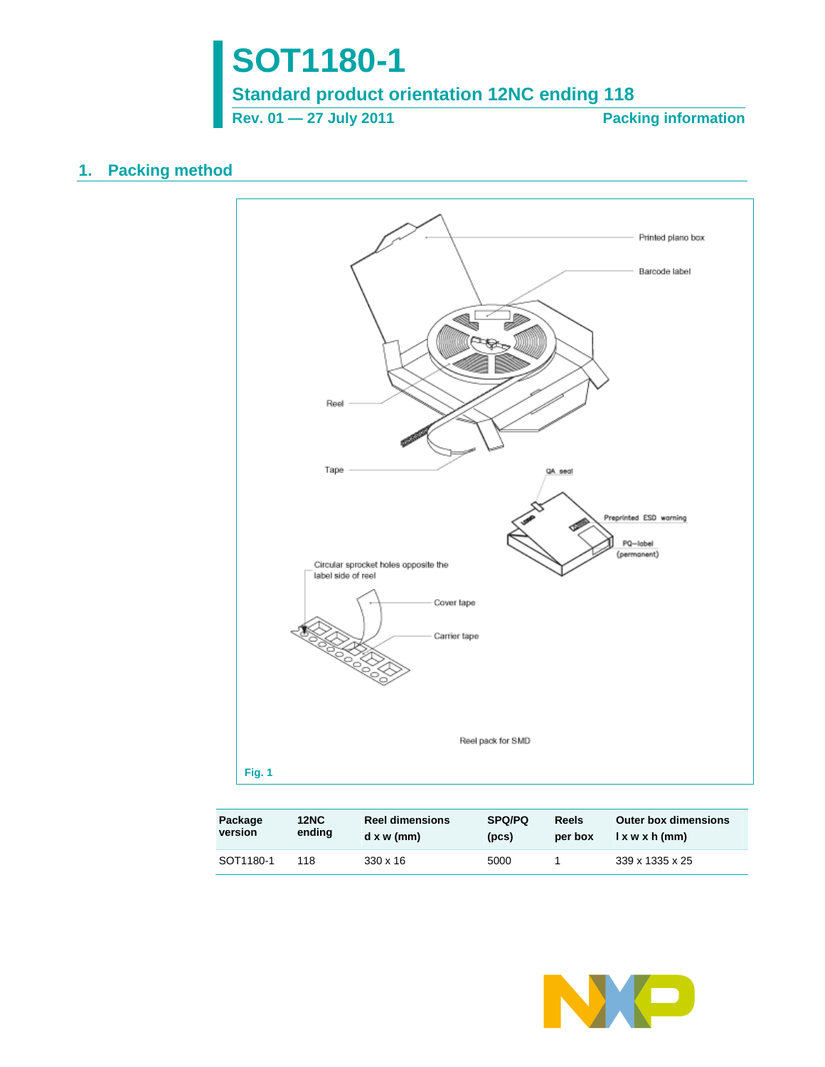

**Rev. 01 — 27 July 2011** Packing information

## **1. Packing method**



| Package   | <b>12NC</b> | <b>Reel dimensions</b> | <b>SPQ/PQ</b> | <b>Reels</b> | <b>Outer box dimensions</b> |
|-----------|-------------|------------------------|---------------|--------------|-----------------------------|
| version   | ending      | dx w (mm)              | (pcs)         | per box      | l x w x h (mm)              |
| SOT1180-1 | 118         | $330 \times 16$        | 5000          |              | 339 x 1335 x 25             |

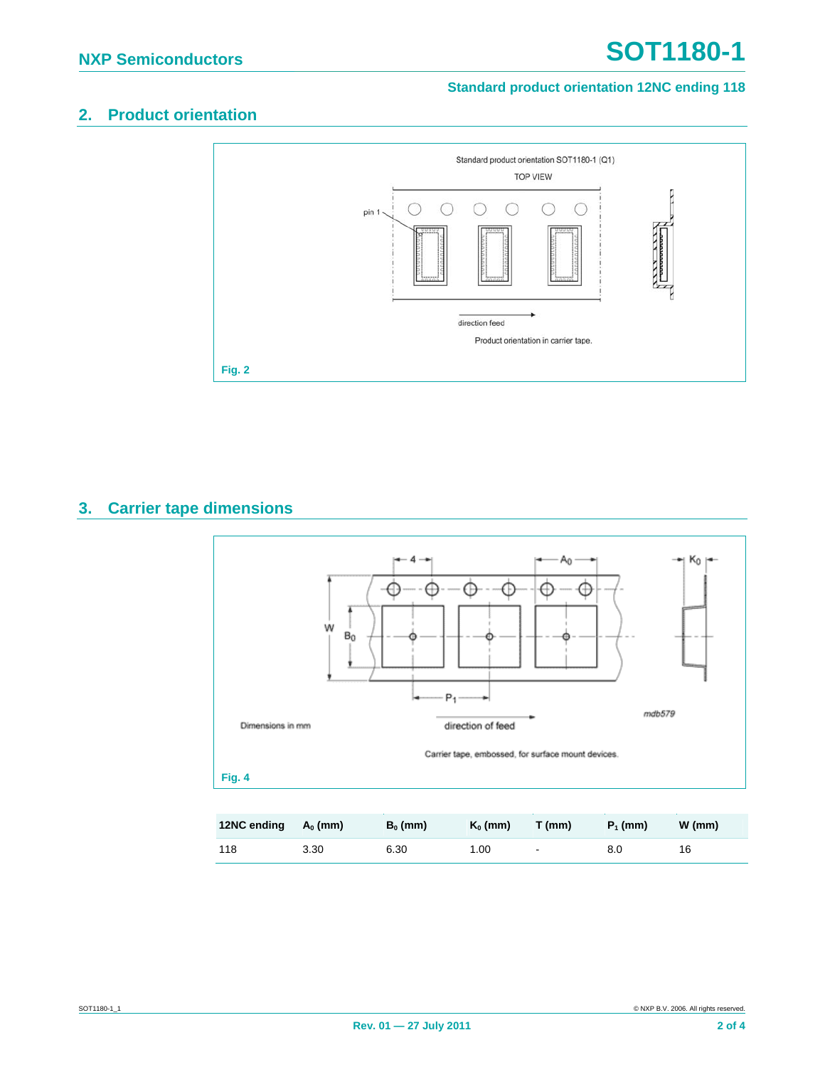# **2. Product orientation**



## **3. Carrier tape dimensions**



| 12NC ending | $A_0$ (mm) | $B_0$ (mm) | $K_0$ (mm) | $T$ (mm) | $P_1$ (mm) | W (mm) |
|-------------|------------|------------|------------|----------|------------|--------|
| 118         | 3.30       | 6.30       | 1.00       | $\sim$   | 8.0        | 16     |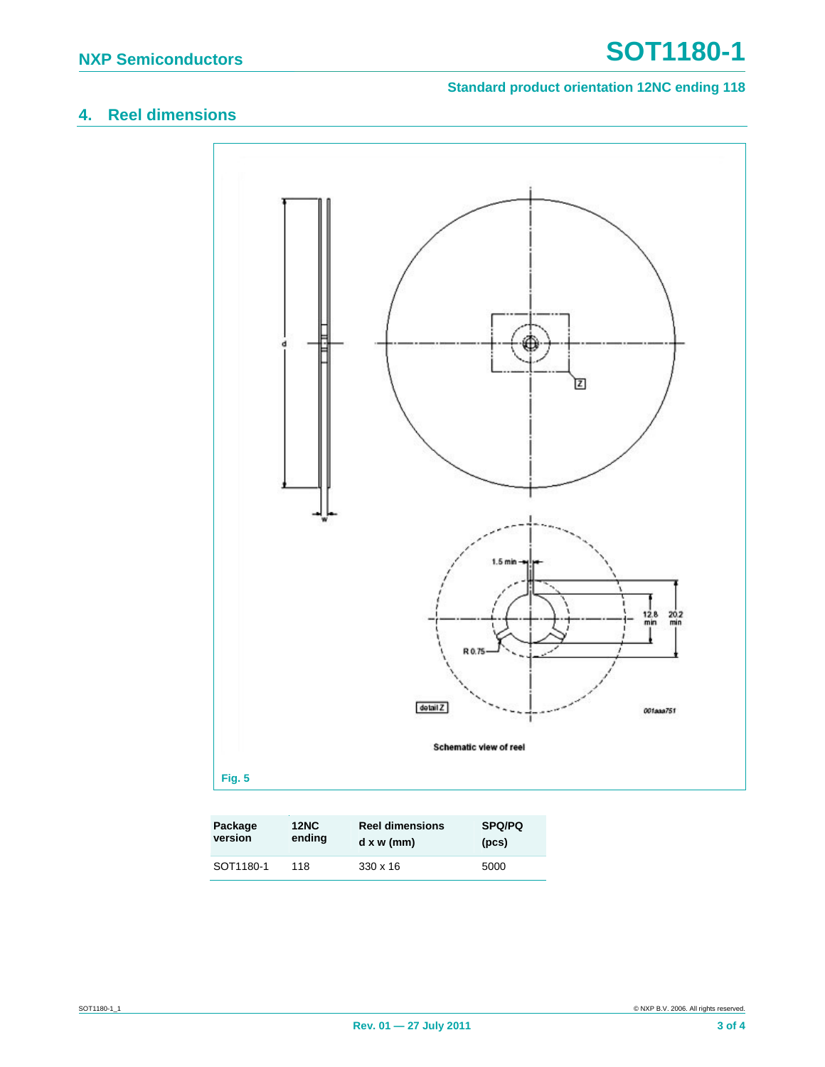# **4. Reel dimensions**



| Package   | <b>12NC</b> | <b>Reel dimensions</b> | <b>SPQ/PQ</b> |
|-----------|-------------|------------------------|---------------|
| version   | ending      | dx w (mm)              | (pcs)         |
| SOT1180-1 | 118         | $330 \times 16$        | 5000          |